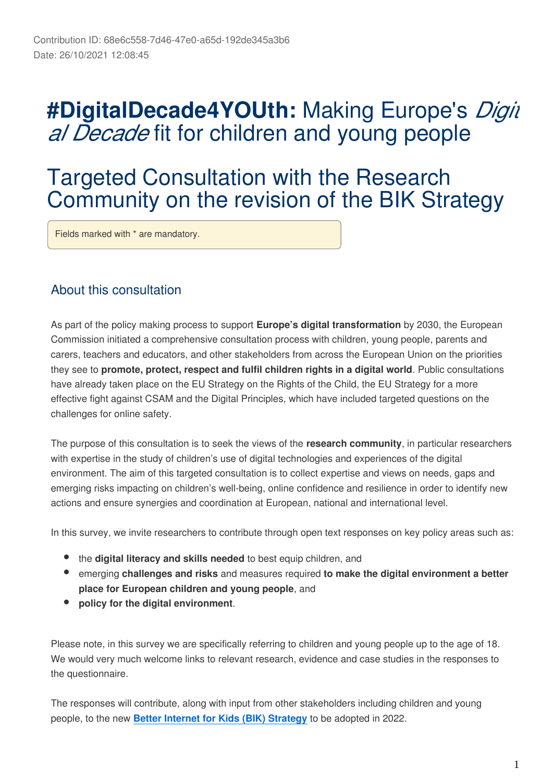# **#DigitalDecade4YOUth:** Making Europe's *Digit al Decade* fit for children and young people

# Targeted Consultation with the Research Community on the revision of the BIK Strategy

Fields marked with \* are mandatory.

### About this consultation

As part of the policy making process to support **Europe's digital transformation** by 2030, the European Commission initiated a comprehensive consultation process with children, young people, parents and carers, teachers and educators, and other stakeholders from across the European Union on the priorities they see to **promote, protect, respect and fulfil children rights in a digital world**. Public consultations have already taken place on the EU Strategy on the Rights of the Child, the EU Strategy for a more effective fight against CSAM and the Digital Principles, which have included targeted questions on the challenges for online safety.

The purpose of this consultation is to seek the views of the **research community**, in particular researchers with expertise in the study of children's use of digital technologies and experiences of the digital environment. The aim of this targeted consultation is to collect expertise and views on needs, gaps and emerging risks impacting on children's well-being, online confidence and resilience in order to identify new actions and ensure synergies and coordination at European, national and international level.

In this survey, we invite researchers to contribute through open text responses on key policy areas such as:

- the **digital literacy and skills needed** to best equip children, and
- emerging **challenges and risks** and measures required **to make the digital environment a better place for European children and young people**, and
- **policy for the digital environment**.

Please note, in this survey we are specifically referring to children and young people up to the age of 18. We would very much welcome links to relevant research, evidence and case studies in the responses to the questionnaire.

The responses will contribute, along with input from other stakeholders including children and young people, to the new **[Better Internet for Kids \(BIK\) Strategy](https://digital-strategy.ec.europa.eu/en/policies/better-internet-kids)** to be adopted in 2022.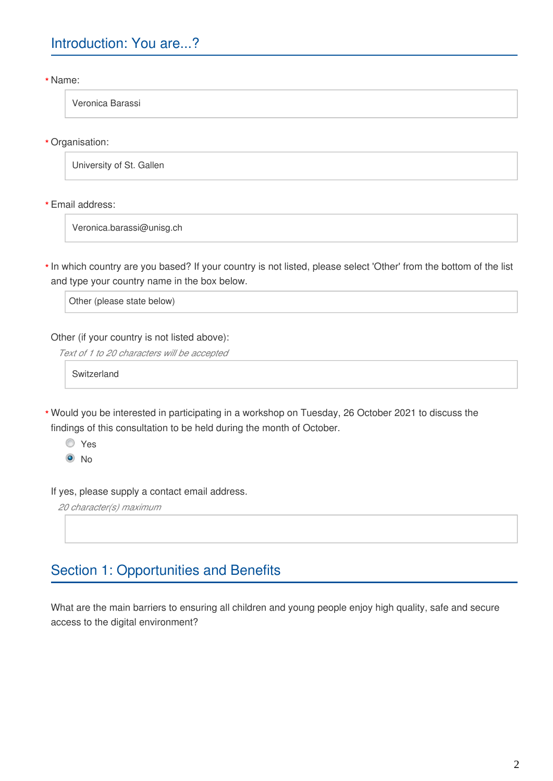Name: **\***

Veronica Barassi

Organisation: **\***

University of St. Gallen

Email address: **\***

Veronica.barassi@unisg.ch

\* In which country are you based? If your country is not listed, please select 'Other' from the bottom of the list and type your country name in the box below.

Other (please state below)

Other (if your country is not listed above):

*Text of 1 to 20 characters will be accepted*

Switzerland

Would you be interested in participating in a workshop on Tuesday, 26 October 2021 to discuss the **\***findings of this consultation to be held during the month of October.

Yes  $\odot$  No

If yes, please supply a contact email address.

*20 character(s) maximum*

## Section 1: Opportunities and Benefits

What are the main barriers to ensuring all children and young people enjoy high quality, safe and secure access to the digital environment?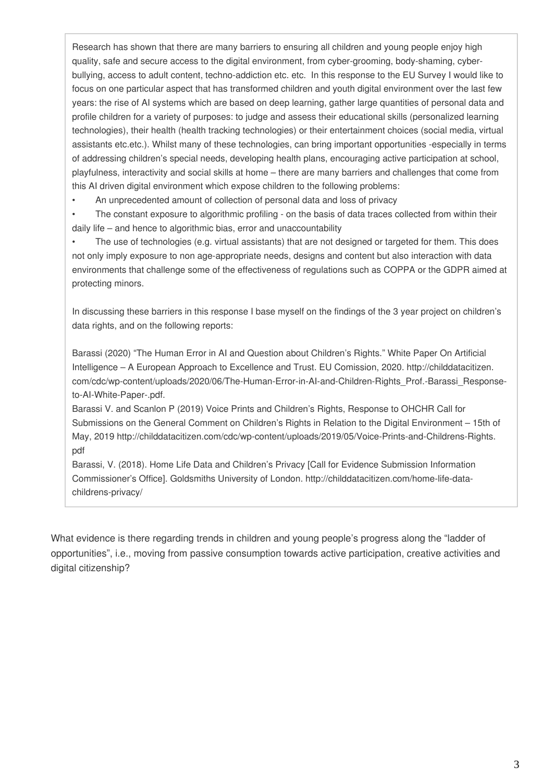Research has shown that there are many barriers to ensuring all children and young people enjoy high quality, safe and secure access to the digital environment, from cyber-grooming, body-shaming, cyberbullying, access to adult content, techno-addiction etc. etc. In this response to the EU Survey I would like to focus on one particular aspect that has transformed children and youth digital environment over the last few years: the rise of AI systems which are based on deep learning, gather large quantities of personal data and profile children for a variety of purposes: to judge and assess their educational skills (personalized learning technologies), their health (health tracking technologies) or their entertainment choices (social media, virtual assistants etc.etc.). Whilst many of these technologies, can bring important opportunities -especially in terms of addressing children's special needs, developing health plans, encouraging active participation at school, playfulness, interactivity and social skills at home – there are many barriers and challenges that come from this AI driven digital environment which expose children to the following problems:

• An unprecedented amount of collection of personal data and loss of privacy

• The constant exposure to algorithmic profiling - on the basis of data traces collected from within their daily life – and hence to algorithmic bias, error and unaccountability

The use of technologies (e.g. virtual assistants) that are not designed or targeted for them. This does not only imply exposure to non age-appropriate needs, designs and content but also interaction with data environments that challenge some of the effectiveness of regulations such as COPPA or the GDPR aimed at protecting minors.

In discussing these barriers in this response I base myself on the findings of the 3 year project on children's data rights, and on the following reports:

Barassi (2020) "The Human Error in AI and Question about Children's Rights." White Paper On Artificial Intelligence – A European Approach to Excellence and Trust. EU Comission, 2020. http://childdatacitizen. com/cdc/wp-content/uploads/2020/06/The-Human-Error-in-AI-and-Children-Rights\_Prof.-Barassi\_Responseto-AI-White-Paper-.pdf.

Barassi V. and Scanlon P (2019) Voice Prints and Children's Rights, Response to OHCHR Call for Submissions on the General Comment on Children's Rights in Relation to the Digital Environment – 15th of May, 2019 http://childdatacitizen.com/cdc/wp-content/uploads/2019/05/Voice-Prints-and-Childrens-Rights. pdf

Barassi, V. (2018). Home Life Data and Children's Privacy [Call for Evidence Submission Information Commissioner's Office]. Goldsmiths University of London. http://childdatacitizen.com/home-life-datachildrens-privacy/

What evidence is there regarding trends in children and young people's progress along the "ladder of opportunities", i.e., moving from passive consumption towards active participation, creative activities and digital citizenship?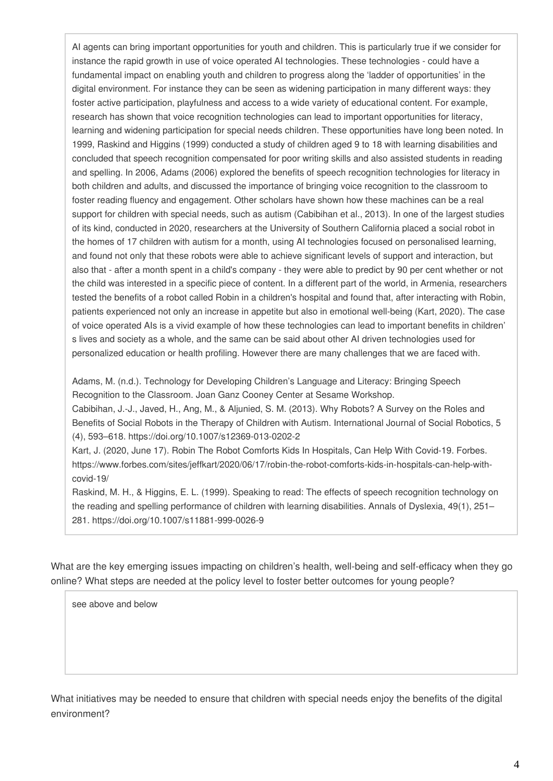AI agents can bring important opportunities for youth and children. This is particularly true if we consider for instance the rapid growth in use of voice operated AI technologies. These technologies - could have a fundamental impact on enabling youth and children to progress along the 'ladder of opportunities' in the digital environment. For instance they can be seen as widening participation in many different ways: they foster active participation, playfulness and access to a wide variety of educational content. For example, research has shown that voice recognition technologies can lead to important opportunities for literacy, learning and widening participation for special needs children. These opportunities have long been noted. In 1999, Raskind and Higgins (1999) conducted a study of children aged 9 to 18 with learning disabilities and concluded that speech recognition compensated for poor writing skills and also assisted students in reading and spelling. In 2006, Adams (2006) explored the benefits of speech recognition technologies for literacy in both children and adults, and discussed the importance of bringing voice recognition to the classroom to foster reading fluency and engagement. Other scholars have shown how these machines can be a real support for children with special needs, such as autism (Cabibihan et al., 2013). In one of the largest studies of its kind, conducted in 2020, researchers at the University of Southern California placed a social robot in the homes of 17 children with autism for a month, using AI technologies focused on personalised learning, and found not only that these robots were able to achieve significant levels of support and interaction, but also that - after a month spent in a child's company - they were able to predict by 90 per cent whether or not the child was interested in a specific piece of content. In a different part of the world, in Armenia, researchers tested the benefits of a robot called Robin in a children's hospital and found that, after interacting with Robin, patients experienced not only an increase in appetite but also in emotional well-being (Kart, 2020). The case of voice operated AIs is a vivid example of how these technologies can lead to important benefits in children' s lives and society as a whole, and the same can be said about other AI driven technologies used for personalized education or health profiling. However there are many challenges that we are faced with.

Adams, M. (n.d.). Technology for Developing Children's Language and Literacy: Bringing Speech Recognition to the Classroom. Joan Ganz Cooney Center at Sesame Workshop.

Cabibihan, J.-J., Javed, H., Ang, M., & Aljunied, S. M. (2013). Why Robots? A Survey on the Roles and Benefits of Social Robots in the Therapy of Children with Autism. International Journal of Social Robotics, 5 (4), 593–618. https://doi.org/10.1007/s12369-013-0202-2

Kart, J. (2020, June 17). Robin The Robot Comforts Kids In Hospitals, Can Help With Covid-19. Forbes. https://www.forbes.com/sites/jeffkart/2020/06/17/robin-the-robot-comforts-kids-in-hospitals-can-help-withcovid-19/

Raskind, M. H., & Higgins, E. L. (1999). Speaking to read: The effects of speech recognition technology on the reading and spelling performance of children with learning disabilities. Annals of Dyslexia, 49(1), 251– 281. https://doi.org/10.1007/s11881-999-0026-9

What are the key emerging issues impacting on children's health, well-being and self-efficacy when they go online? What steps are needed at the policy level to foster better outcomes for young people?

see above and below

What initiatives may be needed to ensure that children with special needs enjoy the benefits of the digital environment?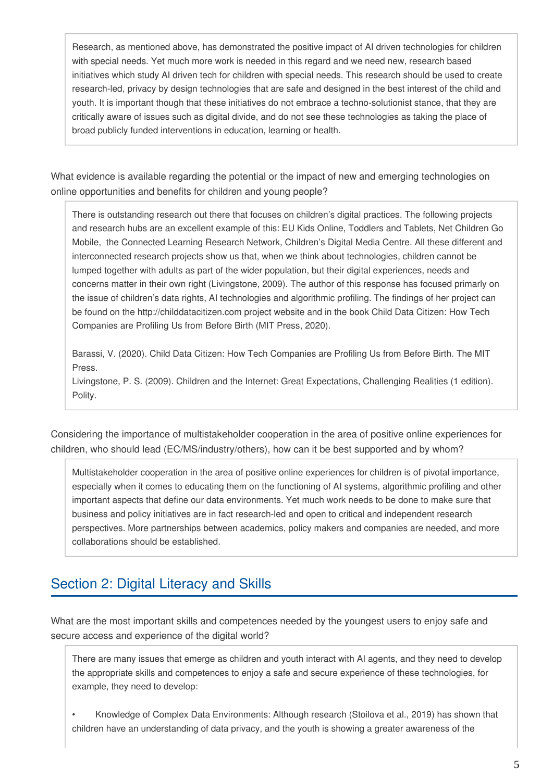Research, as mentioned above, has demonstrated the positive impact of AI driven technologies for children with special needs. Yet much more work is needed in this regard and we need new, research based initiatives which study AI driven tech for children with special needs. This research should be used to create research-led, privacy by design technologies that are safe and designed in the best interest of the child and youth. It is important though that these initiatives do not embrace a techno-solutionist stance, that they are critically aware of issues such as digital divide, and do not see these technologies as taking the place of broad publicly funded interventions in education, learning or health.

What evidence is available regarding the potential or the impact of new and emerging technologies on online opportunities and benefits for children and young people?

There is outstanding research out there that focuses on children's digital practices. The following projects and research hubs are an excellent example of this: EU Kids Online, Toddlers and Tablets, Net Children Go Mobile, the Connected Learning Research Network, Children's Digital Media Centre. All these different and interconnected research projects show us that, when we think about technologies, children cannot be lumped together with adults as part of the wider population, but their digital experiences, needs and concerns matter in their own right (Livingstone, 2009). The author of this response has focused primarly on the issue of children's data rights, AI technologies and algorithmic profiling. The findings of her project can be found on the http://childdatacitizen.com project website and in the book Child Data Citizen: How Tech Companies are Profiling Us from Before Birth (MIT Press, 2020).

Barassi, V. (2020). Child Data Citizen: How Tech Companies are Profiling Us from Before Birth. The MIT Press.

Livingstone, P. S. (2009). Children and the Internet: Great Expectations, Challenging Realities (1 edition). Polity.

Considering the importance of multistakeholder cooperation in the area of positive online experiences for children, who should lead (EC/MS/industry/others), how can it be best supported and by whom?

Multistakeholder cooperation in the area of positive online experiences for children is of pivotal importance, especially when it comes to educating them on the functioning of AI systems, algorithmic profiling and other important aspects that define our data environments. Yet much work needs to be done to make sure that business and policy initiatives are in fact research-led and open to critical and independent research perspectives. More partnerships between academics, policy makers and companies are needed, and more collaborations should be established.

### Section 2: Digital Literacy and Skills

What are the most important skills and competences needed by the youngest users to enjoy safe and secure access and experience of the digital world?

There are many issues that emerge as children and youth interact with AI agents, and they need to develop the appropriate skills and competences to enjoy a safe and secure experience of these technologies, for example, they need to develop:

• Knowledge of Complex Data Environments: Although research (Stoilova et al., 2019) has shown that children have an understanding of data privacy, and the youth is showing a greater awareness of the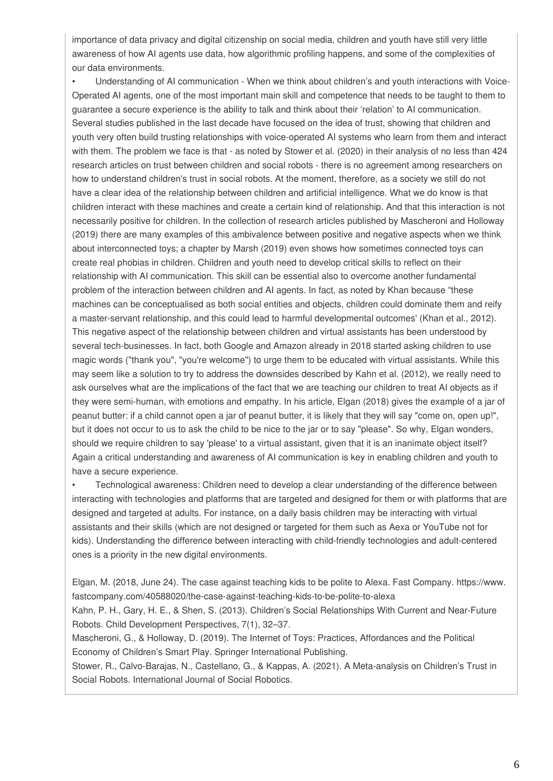importance of data privacy and digital citizenship on social media, children and youth have still very little awareness of how AI agents use data, how algorithmic profiling happens, and some of the complexities of our data environments.

• Understanding of AI communication - When we think about children's and youth interactions with Voice-Operated AI agents, one of the most important main skill and competence that needs to be taught to them to guarantee a secure experience is the ability to talk and think about their 'relation' to AI communication. Several studies published in the last decade have focused on the idea of trust, showing that children and youth very often build trusting relationships with voice-operated AI systems who learn from them and interact with them. The problem we face is that - as noted by Stower et al. (2020) in their analysis of no less than 424 research articles on trust between children and social robots - there is no agreement among researchers on how to understand children's trust in social robots. At the moment, therefore, as a society we still do not have a clear idea of the relationship between children and artificial intelligence. What we do know is that children interact with these machines and create a certain kind of relationship. And that this interaction is not necessarily positive for children. In the collection of research articles published by Mascheroni and Holloway (2019) there are many examples of this ambivalence between positive and negative aspects when we think about interconnected toys; a chapter by Marsh (2019) even shows how sometimes connected toys can create real phobias in children. Children and youth need to develop critical skills to reflect on their relationship with AI communication. This skill can be essential also to overcome another fundamental problem of the interaction between children and AI agents. In fact, as noted by Khan because "these machines can be conceptualised as both social entities and objects, children could dominate them and reify a master-servant relationship, and this could lead to harmful developmental outcomes' (Khan et al., 2012). This negative aspect of the relationship between children and virtual assistants has been understood by several tech-businesses. In fact, both Google and Amazon already in 2018 started asking children to use magic words ("thank you", "you're welcome") to urge them to be educated with virtual assistants. While this may seem like a solution to try to address the downsides described by Kahn et al. (2012), we really need to ask ourselves what are the implications of the fact that we are teaching our children to treat AI objects as if they were semi-human, with emotions and empathy. In his article, Elgan (2018) gives the example of a jar of peanut butter: if a child cannot open a jar of peanut butter, it is likely that they will say "come on, open up!", but it does not occur to us to ask the child to be nice to the jar or to say "please". So why, Elgan wonders, should we require children to say 'please' to a virtual assistant, given that it is an inanimate object itself? Again a critical understanding and awareness of AI communication is key in enabling children and youth to have a secure experience.

• Technological awareness: Children need to develop a clear understanding of the difference between interacting with technologies and platforms that are targeted and designed for them or with platforms that are designed and targeted at adults. For instance, on a daily basis children may be interacting with virtual assistants and their skills (which are not designed or targeted for them such as Aexa or YouTube not for kids). Understanding the difference between interacting with child-friendly technologies and adult-centered ones is a priority in the new digital environments.

Elgan, M. (2018, June 24). The case against teaching kids to be polite to Alexa. Fast Company. https://www. fastcompany.com/40588020/the-case-against-teaching-kids-to-be-polite-to-alexa

Kahn, P. H., Gary, H. E., & Shen, S. (2013). Children's Social Relationships With Current and Near-Future Robots. Child Development Perspectives, 7(1), 32–37.

Mascheroni, G., & Holloway, D. (2019). The Internet of Toys: Practices, Affordances and the Political Economy of Children's Smart Play. Springer International Publishing.

Stower, R., Calvo-Barajas, N., Castellano, G., & Kappas, A. (2021). A Meta-analysis on Children's Trust in Social Robots. International Journal of Social Robotics.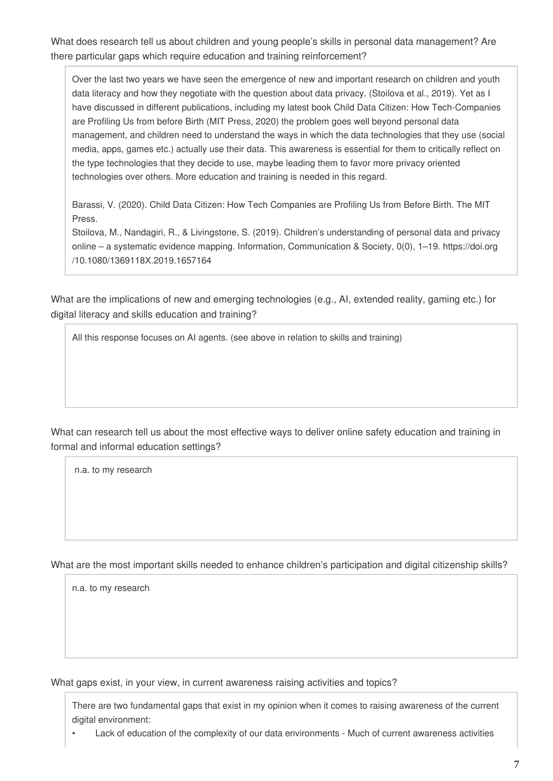What does research tell us about children and young people's skills in personal data management? Are there particular gaps which require education and training reinforcement?

Over the last two years we have seen the emergence of new and important research on children and youth data literacy and how they negotiate with the question about data privacy. (Stoilova et al., 2019). Yet as I have discussed in different publications, including my latest book Child Data Citizen: How Tech-Companies are Profiling Us from before Birth (MIT Press, 2020) the problem goes well beyond personal data management, and children need to understand the ways in which the data technologies that they use (social media, apps, games etc.) actually use their data. This awareness is essential for them to critically reflect on the type technologies that they decide to use, maybe leading them to favor more privacy oriented technologies over others. More education and training is needed in this regard.

Barassi, V. (2020). Child Data Citizen: How Tech Companies are Profiling Us from Before Birth. The MIT Press.

Stoilova, M., Nandagiri, R., & Livingstone, S. (2019). Children's understanding of personal data and privacy online – a systematic evidence mapping. Information, Communication & Society, 0(0), 1–19. https://doi.org /10.1080/1369118X.2019.1657164

What are the implications of new and emerging technologies (e.g., AI, extended reality, gaming etc.) for digital literacy and skills education and training?

All this response focuses on AI agents. (see above in relation to skills and training)

What can research tell us about the most effective ways to deliver online safety education and training in formal and informal education settings?

n.a. to my research

What are the most important skills needed to enhance children's participation and digital citizenship skills?

n.a. to my research

What gaps exist, in your view, in current awareness raising activities and topics?

There are two fundamental gaps that exist in my opinion when it comes to raising awareness of the current digital environment:

• Lack of education of the complexity of our data environments - Much of current awareness activities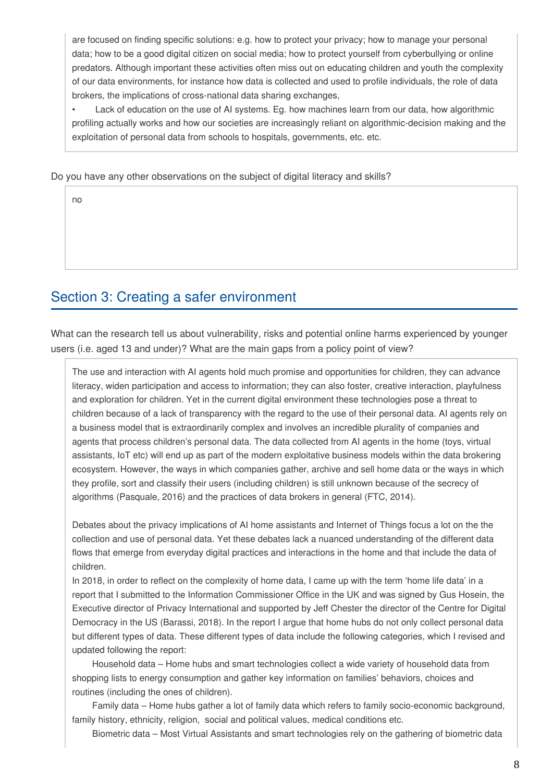are focused on finding specific solutions: e.g. how to protect your privacy; how to manage your personal data; how to be a good digital citizen on social media; how to protect yourself from cyberbullying or online predators. Although important these activities often miss out on educating children and youth the complexity of our data environments, for instance how data is collected and used to profile individuals, the role of data brokers, the implications of cross-national data sharing exchanges,

• Lack of education on the use of AI systems. Eg. how machines learn from our data, how algorithmic profiling actually works and how our societies are increasingly reliant on algorithmic-decision making and the exploitation of personal data from schools to hospitals, governments, etc. etc.

Do you have any other observations on the subject of digital literacy and skills?

no

#### Section 3: Creating a safer environment

What can the research tell us about vulnerability, risks and potential online harms experienced by younger users (i.e. aged 13 and under)? What are the main gaps from a policy point of view?

The use and interaction with AI agents hold much promise and opportunities for children, they can advance literacy, widen participation and access to information; they can also foster, creative interaction, playfulness and exploration for children. Yet in the current digital environment these technologies pose a threat to children because of a lack of transparency with the regard to the use of their personal data. AI agents rely on a business model that is extraordinarily complex and involves an incredible plurality of companies and agents that process children's personal data. The data collected from AI agents in the home (toys, virtual assistants, IoT etc) will end up as part of the modern exploitative business models within the data brokering ecosystem. However, the ways in which companies gather, archive and sell home data or the ways in which they profile, sort and classify their users (including children) is still unknown because of the secrecy of algorithms (Pasquale, 2016) and the practices of data brokers in general (FTC, 2014).

Debates about the privacy implications of AI home assistants and Internet of Things focus a lot on the the collection and use of personal data. Yet these debates lack a nuanced understanding of the different data flows that emerge from everyday digital practices and interactions in the home and that include the data of children.

In 2018, in order to reflect on the complexity of home data, I came up with the term 'home life data' in a report that I submitted to the Information Commissioner Office in the UK and was signed by Gus Hosein, the Executive director of Privacy International and supported by Jeff Chester the director of the Centre for Digital Democracy in the US (Barassi, 2018). In the report I argue that home hubs do not only collect personal data but different types of data. These different types of data include the following categories, which I revised and updated following the report:

 Household data – Home hubs and smart technologies collect a wide variety of household data from shopping lists to energy consumption and gather key information on families' behaviors, choices and routines (including the ones of children).

 Family data – Home hubs gather a lot of family data which refers to family socio-economic background, family history, ethnicity, religion, social and political values, medical conditions etc.

Biometric data – Most Virtual Assistants and smart technologies rely on the gathering of biometric data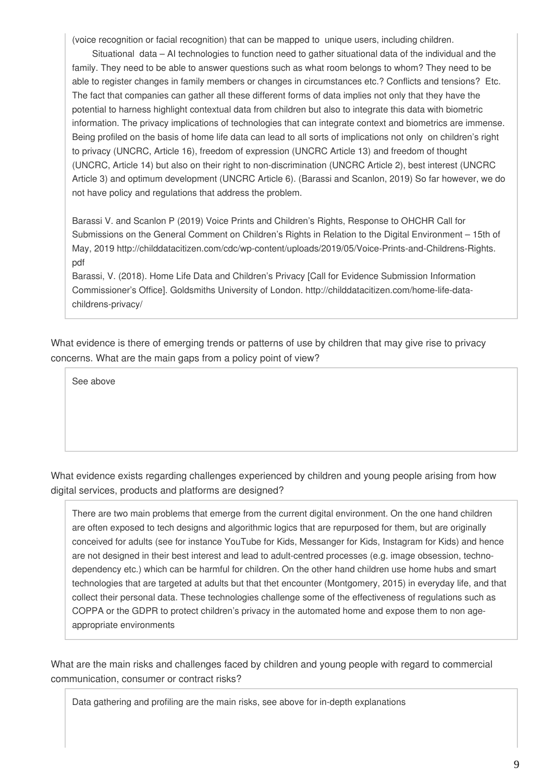(voice recognition or facial recognition) that can be mapped to unique users, including children.

 Situational data – AI technologies to function need to gather situational data of the individual and the family. They need to be able to answer questions such as what room belongs to whom? They need to be able to register changes in family members or changes in circumstances etc.? Conflicts and tensions? Etc. The fact that companies can gather all these different forms of data implies not only that they have the potential to harness highlight contextual data from children but also to integrate this data with biometric information. The privacy implications of technologies that can integrate context and biometrics are immense. Being profiled on the basis of home life data can lead to all sorts of implications not only on children's right to privacy (UNCRC, Article 16), freedom of expression (UNCRC Article 13) and freedom of thought (UNCRC, Article 14) but also on their right to non-discrimination (UNCRC Article 2), best interest (UNCRC Article 3) and optimum development (UNCRC Article 6). (Barassi and Scanlon, 2019) So far however, we do not have policy and regulations that address the problem.

Barassi V. and Scanlon P (2019) Voice Prints and Children's Rights, Response to OHCHR Call for Submissions on the General Comment on Children's Rights in Relation to the Digital Environment – 15th of May, 2019 http://childdatacitizen.com/cdc/wp-content/uploads/2019/05/Voice-Prints-and-Childrens-Rights. pdf

Barassi, V. (2018). Home Life Data and Children's Privacy [Call for Evidence Submission Information Commissioner's Office]. Goldsmiths University of London. http://childdatacitizen.com/home-life-datachildrens-privacy/

What evidence is there of emerging trends or patterns of use by children that may give rise to privacy concerns. What are the main gaps from a policy point of view?

See above

What evidence exists regarding challenges experienced by children and young people arising from how digital services, products and platforms are designed?

There are two main problems that emerge from the current digital environment. On the one hand children are often exposed to tech designs and algorithmic logics that are repurposed for them, but are originally conceived for adults (see for instance YouTube for Kids, Messanger for Kids, Instagram for Kids) and hence are not designed in their best interest and lead to adult-centred processes (e.g. image obsession, technodependency etc.) which can be harmful for children. On the other hand children use home hubs and smart technologies that are targeted at adults but that thet encounter (Montgomery, 2015) in everyday life, and that collect their personal data. These technologies challenge some of the effectiveness of regulations such as COPPA or the GDPR to protect children's privacy in the automated home and expose them to non ageappropriate environments

What are the main risks and challenges faced by children and young people with regard to commercial communication, consumer or contract risks?

Data gathering and profiling are the main risks, see above for in-depth explanations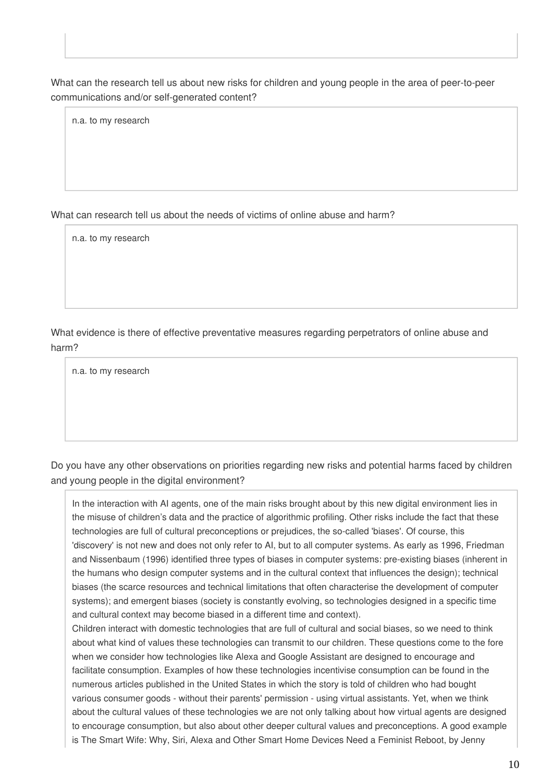What can the research tell us about new risks for children and young people in the area of peer-to-peer communications and/or self-generated content?

n.a. to my research

What can research tell us about the needs of victims of online abuse and harm?

n.a. to my research

What evidence is there of effective preventative measures regarding perpetrators of online abuse and harm?

n.a. to my research

Do you have any other observations on priorities regarding new risks and potential harms faced by children and young people in the digital environment?

In the interaction with AI agents, one of the main risks brought about by this new digital environment lies in the misuse of children's data and the practice of algorithmic profiling. Other risks include the fact that these technologies are full of cultural preconceptions or prejudices, the so-called 'biases'. Of course, this 'discovery' is not new and does not only refer to AI, but to all computer systems. As early as 1996, Friedman and Nissenbaum (1996) identified three types of biases in computer systems: pre-existing biases (inherent in the humans who design computer systems and in the cultural context that influences the design); technical biases (the scarce resources and technical limitations that often characterise the development of computer systems); and emergent biases (society is constantly evolving, so technologies designed in a specific time and cultural context may become biased in a different time and context).

Children interact with domestic technologies that are full of cultural and social biases, so we need to think about what kind of values these technologies can transmit to our children. These questions come to the fore when we consider how technologies like Alexa and Google Assistant are designed to encourage and facilitate consumption. Examples of how these technologies incentivise consumption can be found in the numerous articles published in the United States in which the story is told of children who had bought various consumer goods - without their parents' permission - using virtual assistants. Yet, when we think about the cultural values of these technologies we are not only talking about how virtual agents are designed to encourage consumption, but also about other deeper cultural values and preconceptions. A good example is The Smart Wife: Why, Siri, Alexa and Other Smart Home Devices Need a Feminist Reboot, by Jenny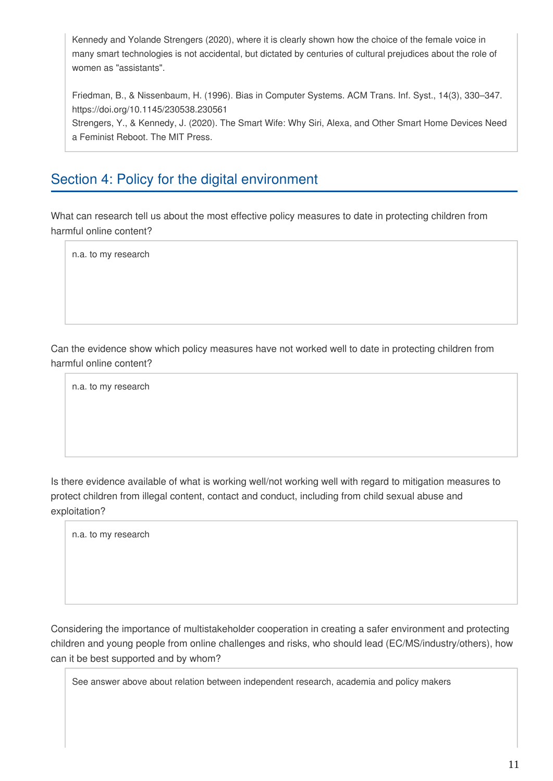Kennedy and Yolande Strengers (2020), where it is clearly shown how the choice of the female voice in many smart technologies is not accidental, but dictated by centuries of cultural prejudices about the role of women as "assistants".

Friedman, B., & Nissenbaum, H. (1996). Bias in Computer Systems. ACM Trans. Inf. Syst., 14(3), 330–347. https://doi.org/10.1145/230538.230561

Strengers, Y., & Kennedy, J. (2020). The Smart Wife: Why Siri, Alexa, and Other Smart Home Devices Need a Feminist Reboot. The MIT Press.

## Section 4: Policy for the digital environment

What can research tell us about the most effective policy measures to date in protecting children from harmful online content?

n.a. to my research

Can the evidence show which policy measures have not worked well to date in protecting children from harmful online content?

n.a. to my research

Is there evidence available of what is working well/not working well with regard to mitigation measures to protect children from illegal content, contact and conduct, including from child sexual abuse and exploitation?

n.a. to my research

Considering the importance of multistakeholder cooperation in creating a safer environment and protecting children and young people from online challenges and risks, who should lead (EC/MS/industry/others), how can it be best supported and by whom?

See answer above about relation between independent research, academia and policy makers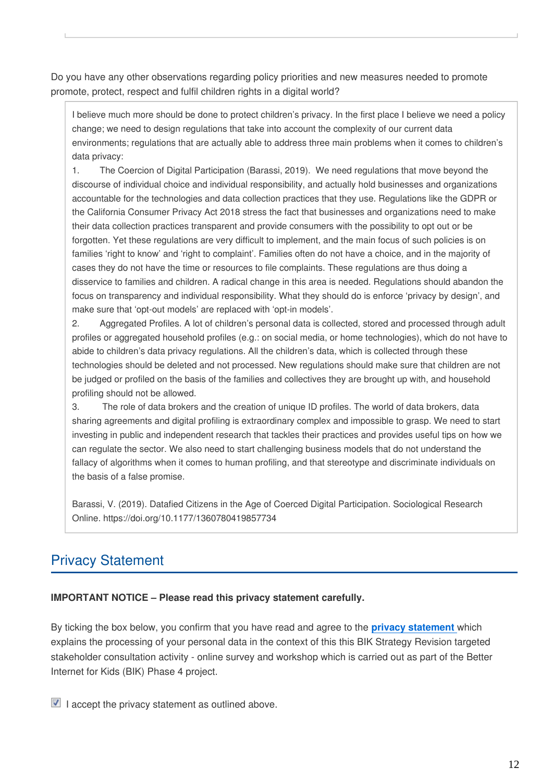Do you have any other observations regarding policy priorities and new measures needed to promote promote, protect, respect and fulfil children rights in a digital world?

I believe much more should be done to protect children's privacy. In the first place I believe we need a policy change; we need to design regulations that take into account the complexity of our current data environments; regulations that are actually able to address three main problems when it comes to children's data privacy:

1. The Coercion of Digital Participation (Barassi, 2019). We need regulations that move beyond the discourse of individual choice and individual responsibility, and actually hold businesses and organizations accountable for the technologies and data collection practices that they use. Regulations like the GDPR or the California Consumer Privacy Act 2018 stress the fact that businesses and organizations need to make their data collection practices transparent and provide consumers with the possibility to opt out or be forgotten. Yet these regulations are very difficult to implement, and the main focus of such policies is on families 'right to know' and 'right to complaint'. Families often do not have a choice, and in the majority of cases they do not have the time or resources to file complaints. These regulations are thus doing a disservice to families and children. A radical change in this area is needed. Regulations should abandon the focus on transparency and individual responsibility. What they should do is enforce 'privacy by design', and make sure that 'opt-out models' are replaced with 'opt-in models'.

2. Aggregated Profiles. A lot of children's personal data is collected, stored and processed through adult profiles or aggregated household profiles (e.g.: on social media, or home technologies), which do not have to abide to children's data privacy regulations. All the children's data, which is collected through these technologies should be deleted and not processed. New regulations should make sure that children are not be judged or profiled on the basis of the families and collectives they are brought up with, and household profiling should not be allowed.

3. The role of data brokers and the creation of unique ID profiles. The world of data brokers, data sharing agreements and digital profiling is extraordinary complex and impossible to grasp. We need to start investing in public and independent research that tackles their practices and provides useful tips on how we can regulate the sector. We also need to start challenging business models that do not understand the fallacy of algorithms when it comes to human profiling, and that stereotype and discriminate individuals on the basis of a false promise.

Barassi, V. (2019). Datafied Citizens in the Age of Coerced Digital Participation. Sociological Research Online. https://doi.org/10.1177/1360780419857734

# Privacy Statement

#### **IMPORTANT NOTICE – Please read this privacy statement carefully.**

By ticking the box below, you confirm that you have read and agree to the **[privacy statement](https://www.betterinternetforkids.eu/documents/167024/6853325/DPR-EC-01011.1+Privacy+statement_targeted+consultations+v01102021.pdf/58e37247-83a0-51bd-33b9-d55df3dc8a2e?t=1633094874358)** which explains the processing of your personal data in the context of this this BIK Strategy Revision targeted stakeholder consultation activity - online survey and workshop which is carried out as part of the Better Internet for Kids (BIK) Phase 4 project.

 $\blacksquare$  I accept the privacy statement as outlined above.